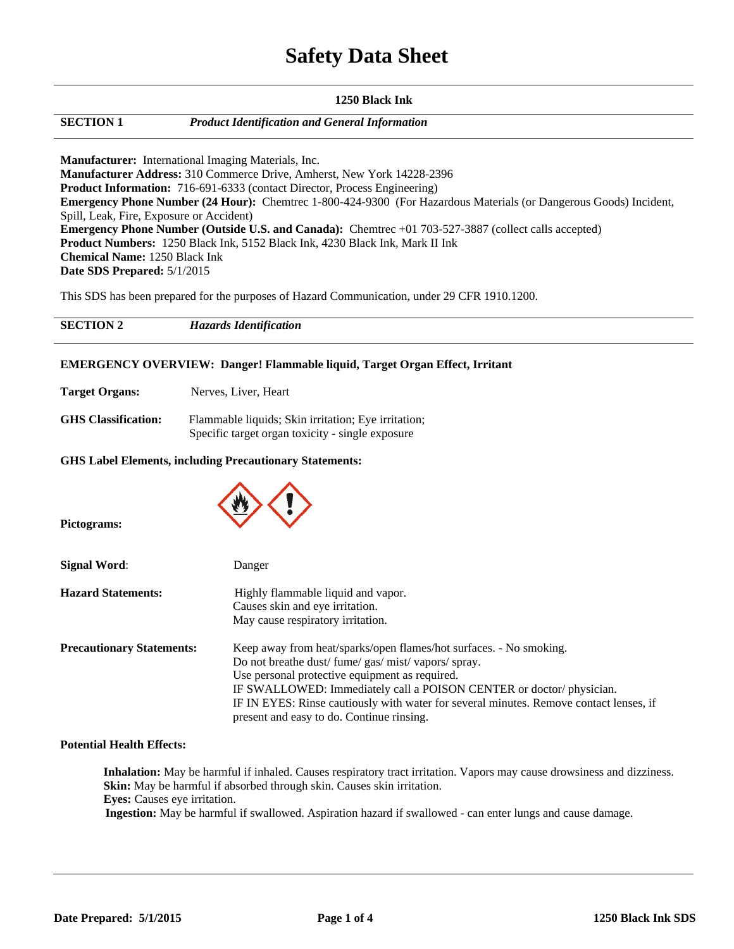# **Safety Data Sheet**

| 1250 Black Ink                                                                                                           |                                                            |  |  |  |
|--------------------------------------------------------------------------------------------------------------------------|------------------------------------------------------------|--|--|--|
| <b>SECTION 1</b>                                                                                                         | <b>Product Identification and General Information</b>      |  |  |  |
|                                                                                                                          |                                                            |  |  |  |
|                                                                                                                          | <b>Manufacturer:</b> International Imaging Materials, Inc. |  |  |  |
| Manufacturer Address: 310 Commerce Drive, Amherst, New York 14228-2396                                                   |                                                            |  |  |  |
| <b>Product Information:</b> 716-691-6333 (contact Director, Process Engineering)                                         |                                                            |  |  |  |
| <b>Emergency Phone Number (24 Hour):</b> Chemtrec 1-800-424-9300 (For Hazardous Materials (or Dangerous Goods) Incident, |                                                            |  |  |  |
| Spill, Leak, Fire, Exposure or Accident)                                                                                 |                                                            |  |  |  |
| Emergency Phone Number (Outside U.S. and Canada): Chemtrec +01 703-527-3887 (collect calls accepted)                     |                                                            |  |  |  |
| <b>Product Numbers:</b> 1250 Black Ink, 5152 Black Ink, 4230 Black Ink, Mark II Ink                                      |                                                            |  |  |  |
| <b>Chemical Name: 1250 Black Ink</b>                                                                                     |                                                            |  |  |  |
| Date SDS Prepared: 5/1/2015                                                                                              |                                                            |  |  |  |

This SDS has been prepared for the purposes of Hazard Communication, under 29 CFR 1910.1200.

| <b>SECTION 2</b> | <b>Hazards Identification</b> |
|------------------|-------------------------------|
|                  |                               |

## **EMERGENCY OVERVIEW: Danger! Flammable liquid, Target Organ Effect, Irritant**

| <b>Target Organs:</b>      | Nerves, Liver, Heart                                                                                    |
|----------------------------|---------------------------------------------------------------------------------------------------------|
| <b>GHS</b> Classification: | Flammable liquids; Skin irritation; Eye irritation;<br>Specific target organ toxicity - single exposure |

## **GHS Label Elements, including Precautionary Statements:**



## **Potential Health Effects:**

**Inhalation:** May be harmful if inhaled. Causes respiratory tract irritation. Vapors may cause drowsiness and dizziness. **Skin:** May be harmful if absorbed through skin. Causes skin irritation. **Eyes:** Causes eye irritation.

 **Ingestion:** May be harmful if swallowed. Aspiration hazard if swallowed - can enter lungs and cause damage.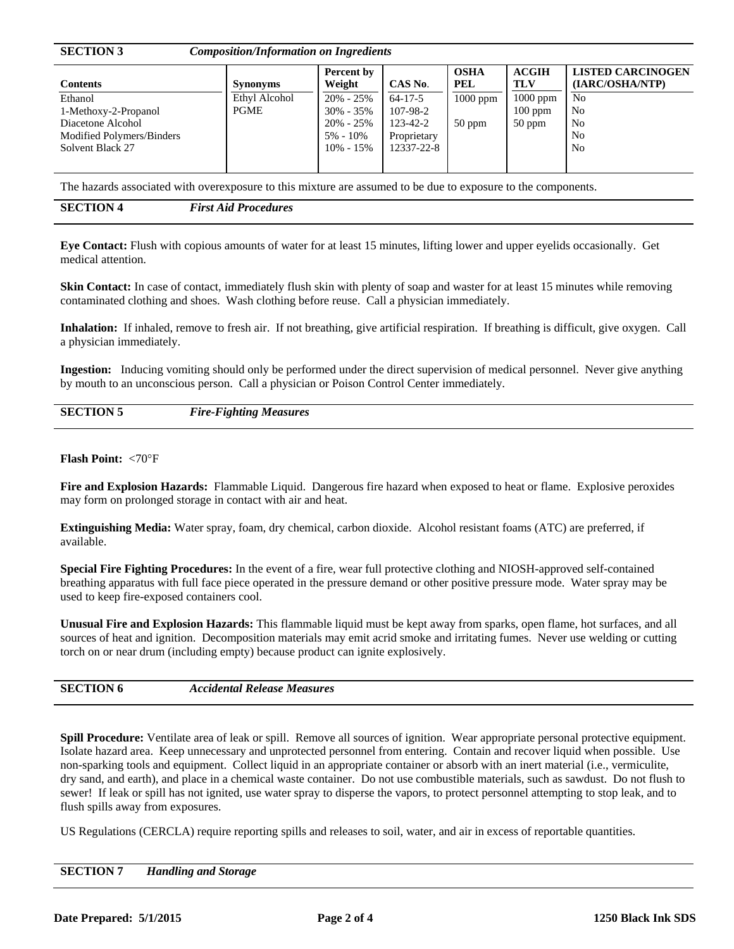| <b>SECTION 3</b><br><b>Composition/Information on Ingredients</b> |                 |                      |               |                           |                            |                                             |
|-------------------------------------------------------------------|-----------------|----------------------|---------------|---------------------------|----------------------------|---------------------------------------------|
| <b>Contents</b>                                                   | <b>Synonyms</b> | Percent by<br>Weight | CAS No.       | <b>OSHA</b><br><b>PEL</b> | <b>ACGIH</b><br><b>TLV</b> | <b>LISTED CARCINOGEN</b><br>(IARC/OSHA/NTP) |
| Ethanol                                                           | Ethyl Alcohol   | $20\% - 25\%$        | $64 - 17 - 5$ | $1000$ ppm                | $1000$ ppm                 | N <sub>0</sub>                              |
| 1-Methoxy-2-Propanol                                              | PGME            | $30\% - 35\%$        | 107-98-2      |                           | $100$ ppm                  | N <sub>0</sub>                              |
| Diacetone Alcohol                                                 |                 | $20\% - 25\%$        | 123-42-2      | $50$ ppm                  | $50$ ppm                   | N <sub>0</sub>                              |
| Modified Polymers/Binders                                         |                 | $5\% - 10\%$         | Proprietary   |                           |                            | N <sub>0</sub>                              |
| Solvent Black 27                                                  |                 | $10\% - 15\%$        | 12337-22-8    |                           |                            | N <sub>o</sub>                              |
|                                                                   |                 |                      |               |                           |                            |                                             |

The hazards associated with overexposure to this mixture are assumed to be due to exposure to the components.

**SECTION 4** *First Aid Procedures*

**Eye Contact:** Flush with copious amounts of water for at least 15 minutes, lifting lower and upper eyelids occasionally. Get medical attention.

**Skin Contact:** In case of contact, immediately flush skin with plenty of soap and waster for at least 15 minutes while removing contaminated clothing and shoes. Wash clothing before reuse. Call a physician immediately.

**Inhalation:** If inhaled, remove to fresh air. If not breathing, give artificial respiration. If breathing is difficult, give oxygen. Call a physician immediately.

**Ingestion:** Inducing vomiting should only be performed under the direct supervision of medical personnel. Never give anything by mouth to an unconscious person. Call a physician or Poison Control Center immediately.

## **Flash Point: <70°F**

**Fire and Explosion Hazards:** Flammable Liquid. Dangerous fire hazard when exposed to heat or flame. Explosive peroxides may form on prolonged storage in contact with air and heat.

**Extinguishing Media:** Water spray, foam, dry chemical, carbon dioxide. Alcohol resistant foams (ATC) are preferred, if available.

**Special Fire Fighting Procedures:** In the event of a fire, wear full protective clothing and NIOSH-approved self-contained breathing apparatus with full face piece operated in the pressure demand or other positive pressure mode. Water spray may be used to keep fire-exposed containers cool.

**Unusual Fire and Explosion Hazards:** This flammable liquid must be kept away from sparks, open flame, hot surfaces, and all sources of heat and ignition. Decomposition materials may emit acrid smoke and irritating fumes. Never use welding or cutting torch on or near drum (including empty) because product can ignite explosively.

**Spill Procedure:** Ventilate area of leak or spill. Remove all sources of ignition. Wear appropriate personal protective equipment. Isolate hazard area. Keep unnecessary and unprotected personnel from entering. Contain and recover liquid when possible. Use non-sparking tools and equipment. Collect liquid in an appropriate container or absorb with an inert material (i.e., vermiculite, dry sand, and earth), and place in a chemical waste container. Do not use combustible materials, such as sawdust. Do not flush to sewer! If leak or spill has not ignited, use water spray to disperse the vapors, to protect personnel attempting to stop leak, and to flush spills away from exposures.

US Regulations (CERCLA) require reporting spills and releases to soil, water, and air in excess of reportable quantities.

**SECTION 7** *Handling and Storage*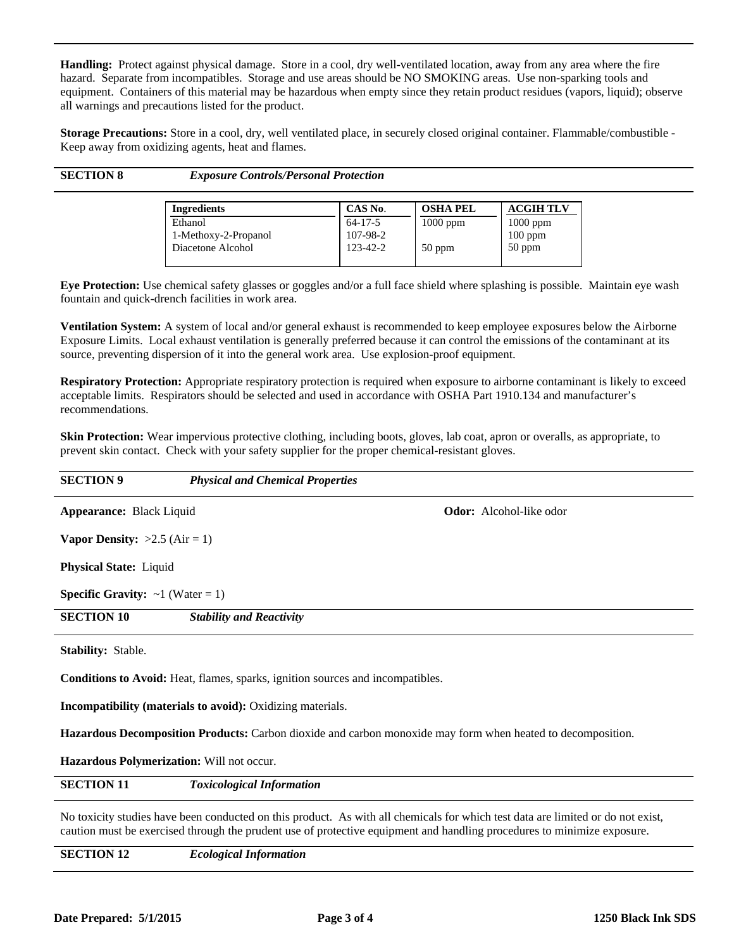**Handling:** Protect against physical damage. Store in a cool, dry well-ventilated location, away from any area where the fire hazard. Separate from incompatibles. Storage and use areas should be NO SMOKING areas. Use non-sparking tools and equipment. Containers of this material may be hazardous when empty since they retain product residues (vapors, liquid); observe all warnings and precautions listed for the product.

**Storage Precautions:** Store in a cool, dry, well ventilated place, in securely closed original container. Flammable/combustible - Keep away from oxidizing agents, heat and flames.

**SECTION 8** *Exposure Controls/Personal Protection*

| <b>Ingredients</b>   | CAS No.        | <b>OSHA PEL</b> | <b>ACGIH TLV</b> |
|----------------------|----------------|-----------------|------------------|
| Ethanol              | $64 - 17 - 5$  | $1000$ ppm      | $1000$ ppm       |
| 1-Methoxy-2-Propanol | 107-98-2       |                 | $100$ ppm        |
| Diacetone Alcohol    | $123 - 42 - 2$ | $50$ ppm        | $50$ ppm         |
|                      |                |                 |                  |

**Eye Protection:** Use chemical safety glasses or goggles and/or a full face shield where splashing is possible. Maintain eye wash fountain and quick-drench facilities in work area.

**Ventilation System:** A system of local and/or general exhaust is recommended to keep employee exposures below the Airborne Exposure Limits. Local exhaust ventilation is generally preferred because it can control the emissions of the contaminant at its source, preventing dispersion of it into the general work area. Use explosion-proof equipment.

**Respiratory Protection:** Appropriate respiratory protection is required when exposure to airborne contaminant is likely to exceed acceptable limits. Respirators should be selected and used in accordance with OSHA Part 1910.134 and manufacturer's recommendations.

**Skin Protection:** Wear impervious protective clothing, including boots, gloves, lab coat, apron or overalls, as appropriate, to prevent skin contact. Check with your safety supplier for the proper chemical-resistant gloves.

| <b>SECTION9</b>                                                                                             | <b>Physical and Chemical Properties</b>                                                                                                                                                                                                                                                    |                                                                                                                                                   |  |  |
|-------------------------------------------------------------------------------------------------------------|--------------------------------------------------------------------------------------------------------------------------------------------------------------------------------------------------------------------------------------------------------------------------------------------|---------------------------------------------------------------------------------------------------------------------------------------------------|--|--|
| Appearance: Black Liquid                                                                                    |                                                                                                                                                                                                                                                                                            | <b>Odor:</b> Alcohol-like odor                                                                                                                    |  |  |
| <b>Vapor Density:</b> $>2.5$ (Air = 1)                                                                      |                                                                                                                                                                                                                                                                                            |                                                                                                                                                   |  |  |
| <b>Physical State:</b> Liquid                                                                               |                                                                                                                                                                                                                                                                                            |                                                                                                                                                   |  |  |
| <b>Specific Gravity:</b> $\sim 1$ (Water = 1)                                                               |                                                                                                                                                                                                                                                                                            |                                                                                                                                                   |  |  |
| <b>SECTION 10</b>                                                                                           | <b>Stability and Reactivity</b>                                                                                                                                                                                                                                                            |                                                                                                                                                   |  |  |
| Stability: Stable.                                                                                          |                                                                                                                                                                                                                                                                                            |                                                                                                                                                   |  |  |
| Conditions to Avoid: Heat, flames, sparks, ignition sources and incompatibles.                              |                                                                                                                                                                                                                                                                                            |                                                                                                                                                   |  |  |
| <b>Incompatibility (materials to avoid):</b> Oxidizing materials.                                           |                                                                                                                                                                                                                                                                                            |                                                                                                                                                   |  |  |
| Hazardous Decomposition Products: Carbon dioxide and carbon monoxide may form when heated to decomposition. |                                                                                                                                                                                                                                                                                            |                                                                                                                                                   |  |  |
| Hazardous Polymerization: Will not occur.                                                                   |                                                                                                                                                                                                                                                                                            |                                                                                                                                                   |  |  |
| <b>SECTION 11</b>                                                                                           | <b>Toxicological Information</b>                                                                                                                                                                                                                                                           |                                                                                                                                                   |  |  |
|                                                                                                             | $\mathbf{M}$ , the state of the state of the state $\mathbf{M}$ and $\mathbf{M}$ and $\mathbf{M}$ and $\mathbf{M}$ and $\mathbf{M}$ and $\mathbf{M}$ and $\mathbf{M}$ and $\mathbf{M}$ and $\mathbf{M}$ and $\mathbf{M}$ and $\mathbf{M}$ and $\mathbf{M}$ and $\mathbf{M}$ and $\mathbf{$ | $\mathbf{1}$ , and $\mathbf{1}$ , and $\mathbf{1}$ , and $\mathbf{1}$ , and $\mathbf{1}$ , and $\mathbf{1}$ , and $\mathbf{1}$ , and $\mathbf{1}$ |  |  |

No toxicity studies have been conducted on this product. As with all chemicals for which test data are limited or do not exist, caution must be exercised through the prudent use of protective equipment and handling procedures to minimize exposure.

**SECTION 12** *Ecological Information*